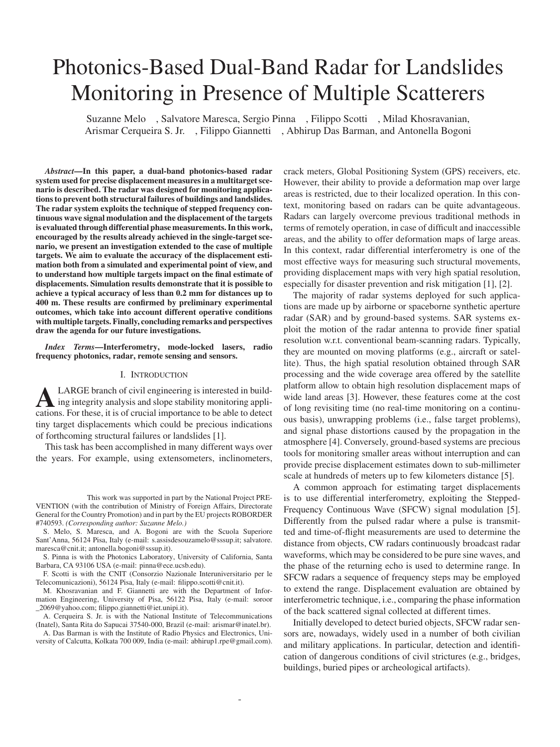# Photonics-Based Dual-Band Radar for Landslides Monitoring in Presence of Multiple Scatterers

Suzanne Melo , Salvatore Maresca, Sergio Pinna , Filippo Scotti , Milad Khosravanian, Arismar Cerqueira S. Jr. , Filippo Giannetti , Abhirup Das Barman, and Antonella Bogoni

*Abstract***—In this paper, a dual-band photonics-based radar system used for precise displacement measures in a multitarget scenario is described. The radar was designed for monitoring applications to prevent both structural failures of buildings and landslides. The radar system exploits the technique of stepped frequency continuous wave signal modulation and the displacement of the targets is evaluated through differential phase measurements. In this work, encouraged by the results already achieved in the single-target scenario, we present an investigation extended to the case of multiple targets. We aim to evaluate the accuracy of the displacement estimation both from a simulated and experimental point of view, and to understand how multiple targets impact on the final estimate of displacements. Simulation results demonstrate that it is possible to achieve a typical accuracy of less than 0.2 mm for distances up to 400 m. These results are confirmed by preliminary experimental outcomes, which take into account different operative conditions with multiple targets. Finally, concluding remarks and perspectives draw the agenda for our future investigations.**

*Index Terms***—Interferometry, mode-locked lasers, radio frequency photonics, radar, remote sensing and sensors.**

## I. INTRODUCTION

**A** LARGE branch of civil engineering is interested in build-<br>ing integrity analysis and slope stability monitoring appli-<br>cations. For these, it is of crucial importance to be able to detect LARGE branch of civil engineering is interested in building integrity analysis and slope stability monitoring applitiny target displacements which could be precious indications of forthcoming structural failures or landslides [1].

This task has been accomplished in many different ways over the years. For example, using extensometers, inclinometers,

This work was supported in part by the National Project PRE-VENTION (with the contribution of Ministry of Foreign Affairs, Directorate General for the Country Promotion) and in part by the EU projects ROBORDER #740593. *(Corresponding author: Suzanne Melo.)*

S. Melo, S. Maresca, and A. Bogoni are with the Scuola Superiore Sant'Anna, 56124 Pisa, Italy (e-mail: s.assisdesouzamelo@sssup.it; salvatore. maresca@cnit.it; antonella.bogoni@sssup.it).

S. Pinna is with the Photonics Laboratory, University of California, Santa Barbara, CA 93106 USA (e-mail: pinna@ece.ucsb.edu).

F. Scotti is with the CNIT (Consorzio Nazionale Interuniversitario per le Telecomunicazioni), 56124 Pisa, Italy (e-mail: filippo.scotti@cnit.it).

M. Khosravanian and F. Giannetti are with the Department of Information Engineering, University of Pisa, 56122 Pisa, Italy (e-mail: soroor \_2069@yahoo.com; filippo.giannetti@iet.unipi.it).

A. Cerqueira S. Jr. is with the National Institute of Telecommunications (Inatel), Santa Rita do Sapucai 37540-000, Brazil (e-mail: arismar@inatel.br).

A. Das Barman is with the Institute of Radio Physics and Electronics, University of Calcutta, Kolkata 700 009, India (e-mail: abhirup1.rpe@gmail.com). crack meters, Global Positioning System (GPS) receivers, etc. However, their ability to provide a deformation map over large areas is restricted, due to their localized operation. In this context, monitoring based on radars can be quite advantageous. Radars can largely overcome previous traditional methods in terms of remotely operation, in case of difficult and inaccessible areas, and the ability to offer deformation maps of large areas. In this context, radar differential interferometry is one of the most effective ways for measuring such structural movements, providing displacement maps with very high spatial resolution, especially for disaster prevention and risk mitigation [1], [2].

The majority of radar systems deployed for such applications are made up by airborne or spaceborne synthetic aperture radar (SAR) and by ground-based systems. SAR systems exploit the motion of the radar antenna to provide finer spatial resolution w.r.t. conventional beam-scanning radars. Typically, they are mounted on moving platforms (e.g., aircraft or satellite). Thus, the high spatial resolution obtained through SAR processing and the wide coverage area offered by the satellite platform allow to obtain high resolution displacement maps of wide land areas [3]. However, these features come at the cost of long revisiting time (no real-time monitoring on a continuous basis), unwrapping problems (i.e., false target problems), and signal phase distortions caused by the propagation in the atmosphere [4]. Conversely, ground-based systems are precious tools for monitoring smaller areas without interruption and can provide precise displacement estimates down to sub-millimeter scale at hundreds of meters up to few kilometers distance [5].

A common approach for estimating target displacements is to use differential interferometry, exploiting the Stepped-Frequency Continuous Wave (SFCW) signal modulation [5]. Differently from the pulsed radar where a pulse is transmitted and time-of-flight measurements are used to determine the distance from objects, CW radars continuously broadcast radar waveforms, which may be considered to be pure sine waves, and the phase of the returning echo is used to determine range. In SFCW radars a sequence of frequency steps may be employed to extend the range. Displacement evaluation are obtained by interferometric technique, i.e., comparing the phase information of the back scattered signal collected at different times.

Initially developed to detect buried objects, SFCW radar sensors are, nowadays, widely used in a number of both civilian and military applications. In particular, detection and identification of dangerous conditions of civil strictures (e.g., bridges, buildings, buried pipes or archeological artifacts).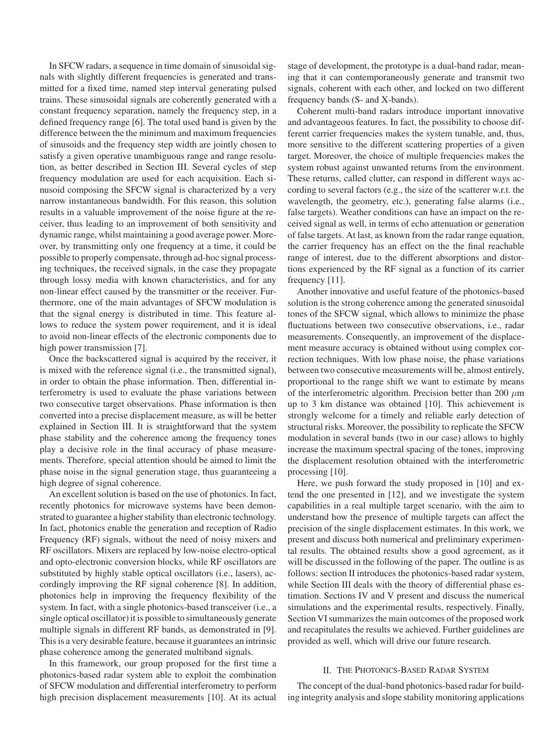In SFCW radars, a sequence in time domain of sinusoidal signals with slightly different frequencies is generated and transmitted for a fixed time, named step interval generating pulsed trains. These sinusoidal signals are coherently generated with a constant frequency separation, namely the frequency step, in a defined frequency range [6]. The total used band is given by the difference between the the minimum and maximum frequencies of sinusoids and the frequency step width are jointly chosen to satisfy a given operative unambiguous range and range resolution, as better described in Section III. Several cycles of step frequency modulation are used for each acquisition. Each sinusoid composing the SFCW signal is characterized by a very narrow instantaneous bandwidth. For this reason, this solution results in a valuable improvement of the noise figure at the receiver, thus leading to an improvement of both sensitivity and dynamic range, whilst maintaining a good average power. Moreover, by transmitting only one frequency at a time, it could be possible to properly compensate, through ad-hoc signal processing techniques, the received signals, in the case they propagate through lossy media with known characteristics, and for any non-linear effect caused by the transmitter or the receiver. Furthermore, one of the main advantages of SFCW modulation is that the signal energy is distributed in time. This feature allows to reduce the system power requirement, and it is ideal to avoid non-linear effects of the electronic components due to high power transmission [7].

Once the backscattered signal is acquired by the receiver, it is mixed with the reference signal (i.e., the transmitted signal), in order to obtain the phase information. Then, differential interferometry is used to evaluate the phase variations between two consecutive target observations. Phase information is then converted into a precise displacement measure, as will be better explained in Section III. It is straightforward that the system phase stability and the coherence among the frequency tones play a decisive role in the final accuracy of phase measurements. Therefore, special attention should be aimed to limit the phase noise in the signal generation stage, thus guaranteeing a high degree of signal coherence.

An excellent solution is based on the use of photonics. In fact, recently photonics for microwave systems have been demonstrated to guarantee a higher stability than electronic technology. In fact, photonics enable the generation and reception of Radio Frequency (RF) signals, without the need of noisy mixers and RF oscillators. Mixers are replaced by low-noise electro-optical and opto-electronic conversion blocks, while RF oscillators are substituted by highly stable optical oscillators (i.e., lasers), accordingly improving the RF signal coherence [8]. In addition, photonics help in improving the frequency flexibility of the system. In fact, with a single photonics-based transceiver (i.e., a single optical oscillator) it is possible to simultaneously generate multiple signals in different RF bands, as demonstrated in [9]. This is a very desirable feature, because it guarantees an intrinsic phase coherence among the generated multiband signals.

In this framework, our group proposed for the first time a photonics-based radar system able to exploit the combination of SFCW modulation and differential interferometry to perform high precision displacement measurements [10]. At its actual stage of development, the prototype is a dual-band radar, meaning that it can contemporaneously generate and transmit two signals, coherent with each other, and locked on two different frequency bands (S- and X-bands).

Coherent multi-band radars introduce important innovative and advantageous features. In fact, the possibility to choose different carrier frequencies makes the system tunable, and, thus, more sensitive to the different scattering properties of a given target. Moreover, the choice of multiple frequencies makes the system robust against unwanted returns from the environment. These returns, called clutter, can respond in different ways according to several factors (e.g., the size of the scatterer w.r.t. the wavelength, the geometry, etc.), generating false alarms (i.e., false targets). Weather conditions can have an impact on the received signal as well, in terms of echo attenuation or generation of false targets. At last, as known from the radar range equation, the carrier frequency has an effect on the the final reachable range of interest, due to the different absorptions and distortions experienced by the RF signal as a function of its carrier frequency [11].

Another innovative and useful feature of the photonics-based solution is the strong coherence among the generated sinusoidal tones of the SFCW signal, which allows to minimize the phase fluctuations between two consecutive observations, i.e., radar measurements. Consequently, an improvement of the displacement measure accuracy is obtained without using complex correction techniques. With low phase noise, the phase variations between two consecutive measurements will be, almost entirely, proportional to the range shift we want to estimate by means of the interferometric algorithm. Precision better than 200  $\mu$ m up to 3 km distance was obtained [10]. This achievement is strongly welcome for a timely and reliable early detection of structural risks. Moreover, the possibility to replicate the SFCW modulation in several bands (two in our case) allows to highly increase the maximum spectral spacing of the tones, improving the displacement resolution obtained with the interferometric processing [10].

Here, we push forward the study proposed in [10] and extend the one presented in [12], and we investigate the system capabilities in a real multiple target scenario, with the aim to understand how the presence of multiple targets can affect the precision of the single displacement estimates. In this work, we present and discuss both numerical and preliminary experimental results. The obtained results show a good agreement, as it will be discussed in the following of the paper. The outline is as follows: section II introduces the photonics-based radar system, while Section III deals with the theory of differential phase estimation. Sections IV and V present and discuss the numerical simulations and the experimental results, respectively. Finally, Section VI summarizes the main outcomes of the proposed work and recapitulates the results we achieved. Further guidelines are provided as well, which will drive our future research.

## II. THE PHOTONICS-BASED RADAR SYSTEM

The concept of the dual-band photonics-based radar for building integrity analysis and slope stability monitoring applications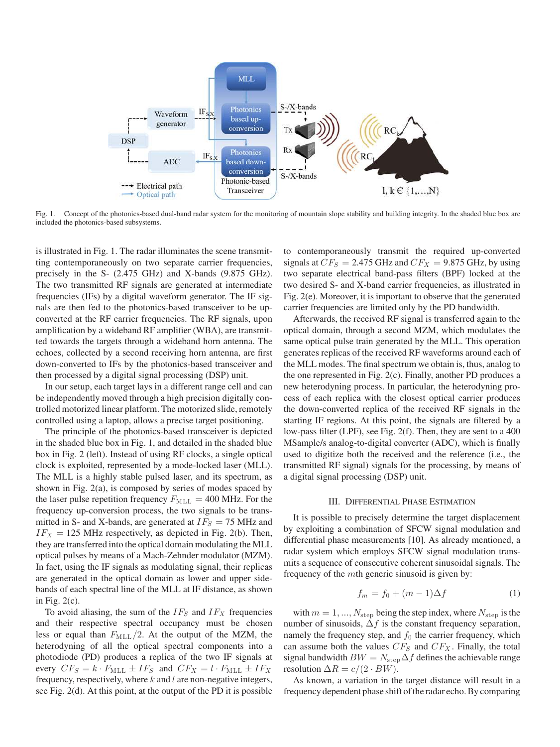

Fig. 1. Concept of the photonics-based dual-band radar system for the monitoring of mountain slope stability and building integrity. In the shaded blue box are included the photonics-based subsystems.

is illustrated in Fig. 1. The radar illuminates the scene transmitting contemporaneously on two separate carrier frequencies, precisely in the S- (2.475 GHz) and X-bands (9.875 GHz). The two transmitted RF signals are generated at intermediate frequencies (IFs) by a digital waveform generator. The IF signals are then fed to the photonics-based transceiver to be upconverted at the RF carrier frequencies. The RF signals, upon amplification by a wideband RF amplifier (WBA), are transmitted towards the targets through a wideband horn antenna. The echoes, collected by a second receiving horn antenna, are first down-converted to IFs by the photonics-based transceiver and then processed by a digital signal processing (DSP) unit.

In our setup, each target lays in a different range cell and can be independently moved through a high precision digitally controlled motorized linear platform. The motorized slide, remotely controlled using a laptop, allows a precise target positioning.

The principle of the photonics-based transceiver is depicted in the shaded blue box in Fig. 1, and detailed in the shaded blue box in Fig. 2 (left). Instead of using RF clocks, a single optical clock is exploited, represented by a mode-locked laser (MLL). The MLL is a highly stable pulsed laser, and its spectrum, as shown in Fig. 2(a), is composed by series of modes spaced by the laser pulse repetition frequency  $F_{\text{MLL}} = 400 \text{ MHz}$ . For the frequency up-conversion process, the two signals to be transmitted in S- and X-bands, are generated at  $IF_S = 75 \text{ MHz}$  and  $IF_X = 125$  MHz respectively, as depicted in Fig. 2(b). Then, they are transferred into the optical domain modulating the MLL optical pulses by means of a Mach-Zehnder modulator (MZM). In fact, using the IF signals as modulating signal, their replicas are generated in the optical domain as lower and upper sidebands of each spectral line of the MLL at IF distance, as shown in Fig. 2(c).

To avoid aliasing, the sum of the  $IF_S$  and  $IF_X$  frequencies and their respective spectral occupancy must be chosen less or equal than  $F_{\text{MLL}}/2$ . At the output of the MZM, the heterodyning of all the optical spectral components into a photodiode (PD) produces a replica of the two IF signals at every  $CF_S = k \cdot F_{\text{MLL}} \pm IF_S$  and  $CF_X = l \cdot F_{\text{MLL}} \pm IF_X$ frequency, respectively, where  $k$  and  $l$  are non-negative integers, see Fig. 2(d). At this point, at the output of the PD it is possible to contemporaneously transmit the required up-converted signals at  $CF_S = 2.475$  GHz and  $CF_X = 9.875$  GHz, by using two separate electrical band-pass filters (BPF) locked at the two desired S- and X-band carrier frequencies, as illustrated in Fig. 2(e). Moreover, it is important to observe that the generated carrier frequencies are limited only by the PD bandwidth.

Afterwards, the received RF signal is transferred again to the optical domain, through a second MZM, which modulates the same optical pulse train generated by the MLL. This operation generates replicas of the received RF waveforms around each of the MLL modes. The final spectrum we obtain is, thus, analog to the one represented in Fig. 2(c). Finally, another PD produces a new heterodyning process. In particular, the heterodyning process of each replica with the closest optical carrier produces the down-converted replica of the received RF signals in the starting IF regions. At this point, the signals are filtered by a low-pass filter (LPF), see Fig. 2(f). Then, they are sent to a 400 MSample/s analog-to-digital converter (ADC), which is finally used to digitize both the received and the reference (i.e., the transmitted RF signal) signals for the processing, by means of a digital signal processing (DSP) unit.

### III. DIFFERENTIAL PHASE ESTIMATION

It is possible to precisely determine the target displacement by exploiting a combination of SFCW signal modulation and differential phase measurements [10]. As already mentioned, a radar system which employs SFCW signal modulation transmits a sequence of consecutive coherent sinusoidal signals. The frequency of the mth generic sinusoid is given by:

$$
f_m = f_0 + (m-1)\Delta f \tag{1}
$$

with  $m = 1, ..., N_{\text{step}}$  being the step index, where  $N_{\text{step}}$  is the number of sinusoids,  $\Delta f$  is the constant frequency separation, namely the frequency step, and  $f_0$  the carrier frequency, which can assume both the values  $CF_S$  and  $CF_X$ . Finally, the total signal bandwidth  $BW = N_{\text{step}}\Delta f$  defines the achievable range resolution  $\Delta R = c/(2 \cdot BW)$ .

As known, a variation in the target distance will result in a frequency dependent phase shift of the radar echo. By comparing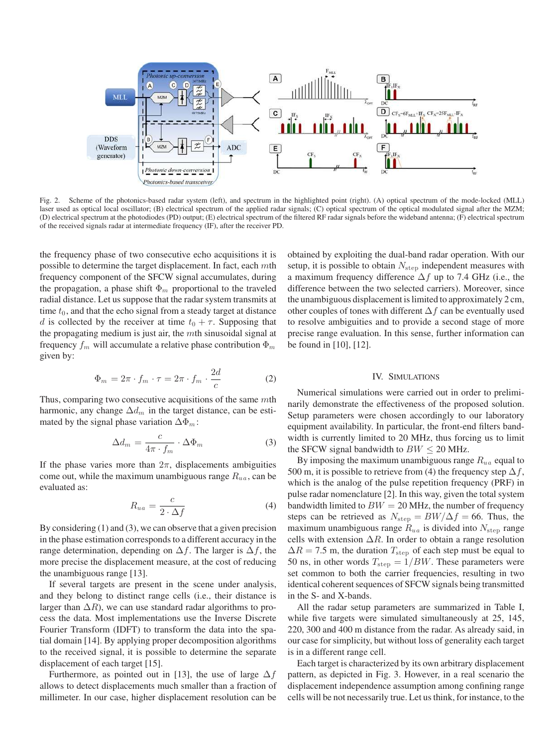

Fig. 2. Scheme of the photonics-based radar system (left), and spectrum in the highlighted point (right). (A) optical spectrum of the mode-locked (MLL) laser used as optical local oscillator; (B) electrical spectrum of the applied radar signals; (C) optical spectrum of the optical modulated signal after the MZM; (D) electrical spectrum at the photodiodes (PD) output; (E) electrical spectrum of the filtered RF radar signals before the wideband antenna; (F) electrical spectrum of the received signals radar at intermediate frequency (IF), after the receiver PD.

the frequency phase of two consecutive echo acquisitions it is possible to determine the target displacement. In fact, each mth frequency component of the SFCW signal accumulates, during the propagation, a phase shift  $\Phi_m$  proportional to the traveled radial distance. Let us suppose that the radar system transmits at time  $t_0$ , and that the echo signal from a steady target at distance d is collected by the receiver at time  $t_0 + \tau$ . Supposing that the propagating medium is just air, the  $m$ th sinusoidal signal at frequency  $f_m$  will accumulate a relative phase contribution  $\Phi_m$ given by:

$$
\Phi_m = 2\pi \cdot f_m \cdot \tau = 2\pi \cdot f_m \cdot \frac{2d}{c} \tag{2}
$$

Thus, comparing two consecutive acquisitions of the same  $m$ th harmonic, any change  $\Delta d_m$  in the target distance, can be estimated by the signal phase variation  $\Delta \Phi_m$ :

$$
\Delta d_m = \frac{c}{4\pi \cdot f_m} \cdot \Delta \Phi_m \tag{3}
$$

If the phase varies more than  $2\pi$ , displacements ambiguities come out, while the maximum unambiguous range  $R_{ua}$ , can be evaluated as:

$$
R_{ua} = \frac{c}{2 \cdot \Delta f} \tag{4}
$$

By considering (1) and (3), we can observe that a given precision in the phase estimation corresponds to a different accuracy in the range determination, depending on  $\Delta f$ . The larger is  $\Delta f$ , the more precise the displacement measure, at the cost of reducing the unambiguous range [13].

If several targets are present in the scene under analysis, and they belong to distinct range cells (i.e., their distance is larger than  $\Delta R$ ), we can use standard radar algorithms to process the data. Most implementations use the Inverse Discrete Fourier Transform (IDFT) to transform the data into the spatial domain [14]. By applying proper decomposition algorithms to the received signal, it is possible to determine the separate displacement of each target [15].

Furthermore, as pointed out in [13], the use of large  $\Delta f$ allows to detect displacements much smaller than a fraction of millimeter. In our case, higher displacement resolution can be

obtained by exploiting the dual-band radar operation. With our setup, it is possible to obtain  $N_{\text{step}}$  independent measures with a maximum frequency difference  $\Delta f$  up to 7.4 GHz (i.e., the difference between the two selected carriers). Moreover, since the unambiguous displacement is limited to approximately 2 cm, other couples of tones with different  $\Delta f$  can be eventually used to resolve ambiguities and to provide a second stage of more precise range evaluation. In this sense, further information can be found in [10], [12].

## IV. SIMULATIONS

Numerical simulations were carried out in order to preliminarily demonstrate the effectiveness of the proposed solution. Setup parameters were chosen accordingly to our laboratory equipment availability. In particular, the front-end filters bandwidth is currently limited to 20 MHz, thus forcing us to limit the SFCW signal bandwidth to  $BW \leq 20$  MHz.

By imposing the maximum unambiguous range  $R_{ua}$  equal to 500 m, it is possible to retrieve from (4) the frequency step  $\Delta f$ , which is the analog of the pulse repetition frequency (PRF) in pulse radar nomenclature [2]. In this way, given the total system bandwidth limited to  $BW = 20$  MHz, the number of frequency steps can be retrieved as  $N_{\text{step}} = BW/\Delta f = 66$ . Thus, the maximum unambiguous range  $R_{ua}$  is divided into  $N_{\text{step}}$  range cells with extension  $\Delta R$ . In order to obtain a range resolution  $\Delta R = 7.5$  m, the duration  $T_{\text{step}}$  of each step must be equal to 50 ns, in other words  $T_{\text{step}} = 1/BW$ . These parameters were set common to both the carrier frequencies, resulting in two identical coherent sequences of SFCW signals being transmitted in the S- and X-bands.

All the radar setup parameters are summarized in Table I, while five targets were simulated simultaneously at 25, 145, 220, 300 and 400 m distance from the radar. As already said, in our case for simplicity, but without loss of generality each target is in a different range cell.

Each target is characterized by its own arbitrary displacement pattern, as depicted in Fig. 3. However, in a real scenario the displacement independence assumption among confining range cells will be not necessarily true. Let us think, for instance, to the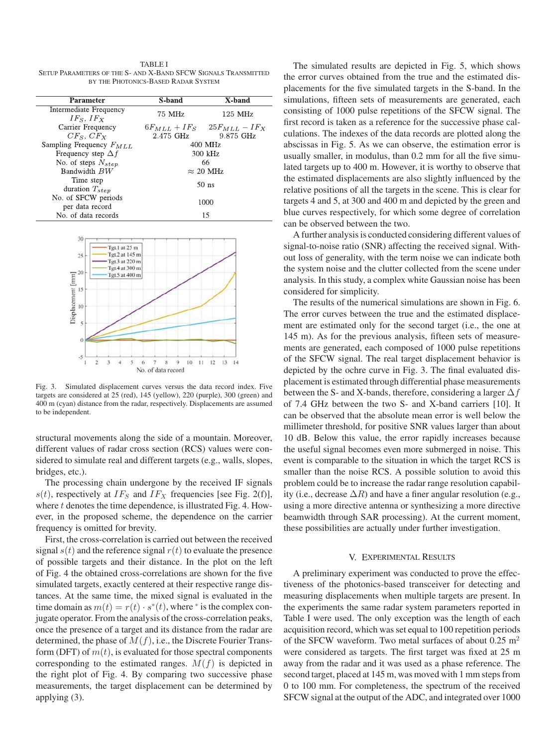TABLE I SETUP PARAMETERS OF THE S- AND X-BAND SFCW SIGNALS TRANSMITTED BY THE PHOTONICS-BASED RADAR SYSTEM

| Parameter                              | S-band           | X-band                               |
|----------------------------------------|------------------|--------------------------------------|
| Intermediate Frequency<br>$IF_S, IF_X$ | 75 MHz           | $125$ MHz                            |
| Carrier Frequency                      |                  | $6F_{MLL} + IF_S$ $25F_{MLL} - IF_X$ |
| $CF_S, CF_X$                           | 2.475 GHz        | 9.875 GHz                            |
| Sampling Frequency $F_{MLL}$           | 400 MHz          |                                      |
| Frequency step $\Delta f$              | 300 kHz          |                                      |
| No. of steps $N_{step}$                | 66               |                                      |
| Bandwidth BW                           | $\approx 20$ MHz |                                      |
| Time step<br>duration $T_{step}$       | 50 ns            |                                      |
| No. of SFCW periods<br>per data record | 1000             |                                      |
| No. of data records                    | 15               |                                      |



Fig. 3. Simulated displacement curves versus the data record index. Five targets are considered at 25 (red), 145 (yellow), 220 (purple), 300 (green) and 400 m (cyan) distance from the radar, respectively. Displacements are assumed to be independent.

structural movements along the side of a mountain. Moreover, different values of radar cross section (RCS) values were considered to simulate real and different targets (e.g., walls, slopes, bridges, etc.).

The processing chain undergone by the received IF signals  $s(t)$ , respectively at  $IF_S$  and  $IF_X$  frequencies [see Fig. 2(f)], where  $t$  denotes the time dependence, is illustrated Fig. 4. However, in the proposed scheme, the dependence on the carrier frequency is omitted for brevity.

First, the cross-correlation is carried out between the received signal  $s(t)$  and the reference signal  $r(t)$  to evaluate the presence of possible targets and their distance. In the plot on the left of Fig. 4 the obtained cross-correlations are shown for the five simulated targets, exactly centered at their respective range distances. At the same time, the mixed signal is evaluated in the time domain as  $m(t) = r(t) \cdot s^*(t)$ , where  $*$  is the complex conjugate operator. From the analysis of the cross-correlation peaks, once the presence of a target and its distance from the radar are determined, the phase of  $M(f)$ , i.e., the Discrete Fourier Transform (DFT) of  $m(t)$ , is evaluated for those spectral components corresponding to the estimated ranges.  $M(f)$  is depicted in the right plot of Fig. 4. By comparing two successive phase measurements, the target displacement can be determined by applying (3).

The simulated results are depicted in Fig. 5, which shows the error curves obtained from the true and the estimated displacements for the five simulated targets in the S-band. In the simulations, fifteen sets of measurements are generated, each consisting of 1000 pulse repetitions of the SFCW signal. The first record is taken as a reference for the successive phase calculations. The indexes of the data records are plotted along the abscissas in Fig. 5. As we can observe, the estimation error is usually smaller, in modulus, than 0.2 mm for all the five simulated targets up to 400 m. However, it is worthy to observe that the estimated displacements are also slightly influenced by the relative positions of all the targets in the scene. This is clear for targets 4 and 5, at 300 and 400 m and depicted by the green and blue curves respectively, for which some degree of correlation can be observed between the two.

A further analysis is conducted considering different values of signal-to-noise ratio (SNR) affecting the received signal. Without loss of generality, with the term noise we can indicate both the system noise and the clutter collected from the scene under analysis. In this study, a complex white Gaussian noise has been considered for simplicity.

The results of the numerical simulations are shown in Fig. 6. The error curves between the true and the estimated displacement are estimated only for the second target (i.e., the one at 145 m). As for the previous analysis, fifteen sets of measurements are generated, each composed of 1000 pulse repetitions of the SFCW signal. The real target displacement behavior is depicted by the ochre curve in Fig. 3. The final evaluated displacement is estimated through differential phase measurements between the S- and X-bands, therefore, considering a larger  $\Delta f$ of 7.4 GHz between the two S- and X-band carriers [10]. It can be observed that the absolute mean error is well below the millimeter threshold, for positive SNR values larger than about 10 dB. Below this value, the error rapidly increases because the useful signal becomes even more submerged in noise. This event is comparable to the situation in which the target RCS is smaller than the noise RCS. A possible solution to avoid this problem could be to increase the radar range resolution capability (i.e., decrease  $\Delta R$ ) and have a finer angular resolution (e.g., using a more directive antenna or synthesizing a more directive beamwidth through SAR processing). At the current moment, these possibilities are actually under further investigation.

#### V. EXPERIMENTAL RESULTS

A preliminary experiment was conducted to prove the effectiveness of the photonics-based transceiver for detecting and measuring displacements when multiple targets are present. In the experiments the same radar system parameters reported in Table I were used. The only exception was the length of each acquisition record, which was set equal to 100 repetition periods of the SFCW waveform. Two metal surfaces of about  $0.25 \text{ m}^2$ were considered as targets. The first target was fixed at 25 m away from the radar and it was used as a phase reference. The second target, placed at 145 m, was moved with 1 mm steps from 0 to 100 mm. For completeness, the spectrum of the received SFCW signal at the output of the ADC, and integrated over 1000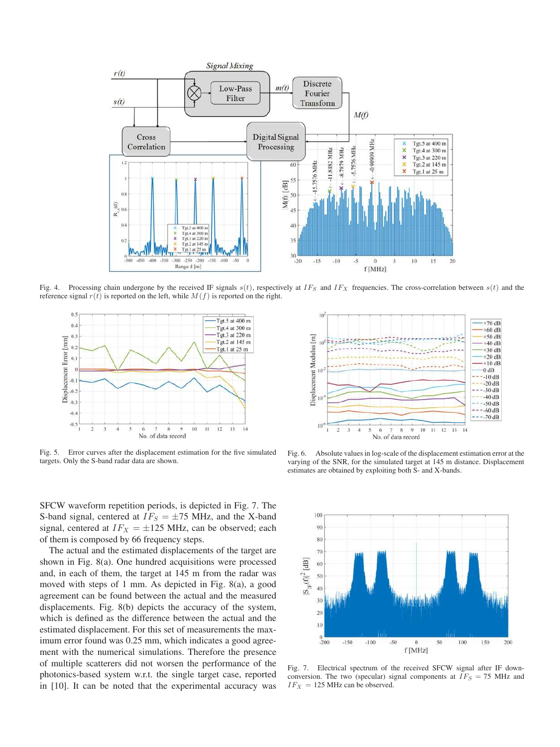

Fig. 4. Processing chain undergone by the received IF signals  $s(t)$ , respectively at  $IF_S$  and  $IF_X$  frequencies. The cross-correlation between  $s(t)$  and the reference signal  $r(t)$  is reported on the left, while  $M(f)$  is reported on the right.



Fig. 5. Error curves after the displacement estimation for the five simulated targets. Only the S-band radar data are shown.

SFCW waveform repetition periods, is depicted in Fig. 7. The S-band signal, centered at  $IF_S = \pm 75$  MHz, and the X-band signal, centered at  $IF_X = \pm 125$  MHz, can be observed; each of them is composed by 66 frequency steps.

The actual and the estimated displacements of the target are shown in Fig. 8(a). One hundred acquisitions were processed and, in each of them, the target at 145 m from the radar was moved with steps of 1 mm. As depicted in Fig. 8(a), a good agreement can be found between the actual and the measured displacements. Fig. 8(b) depicts the accuracy of the system, which is defined as the difference between the actual and the estimated displacement. For this set of measurements the maximum error found was 0.25 mm, which indicates a good agreement with the numerical simulations. Therefore the presence of multiple scatterers did not worsen the performance of the photonics-based system w.r.t. the single target case, reported in [10]. It can be noted that the experimental accuracy was



Fig. 6. Absolute values in log-scale of the displacement estimation error at the varying of the SNR, for the simulated target at 145 m distance. Displacement estimates are obtained by exploiting both S- and X-bands.



Fig. 7. Electrical spectrum of the received SFCW signal after IF downconversion. The two (specular) signal components at  $IF_S = 75$  MHz and  $IF_X = 125$  MHz can be observed.